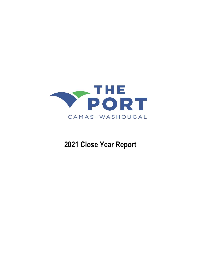

# **2021 Close Year Report**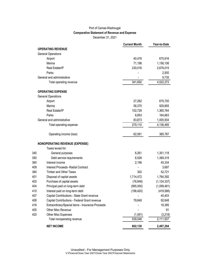#### Port of Camas-Washougal **Comparative Statement of Revenue and Expense** December 31, 2021

|     |                                                  | <b>Current Month</b> | Year-to-Date  |
|-----|--------------------------------------------------|----------------------|---------------|
|     | <b>OPERATING REVENUE</b>                         |                      |               |
|     | <b>General Operations</b>                        |                      |               |
|     | Airport                                          | 40,478               | 675,916       |
|     | Marina                                           | 71,198               | 1,156,106     |
|     | Real Estate/IP                                   | 230,016              | 2,678,015     |
|     | Parks                                            |                      | 2,500         |
|     | General and administrative                       |                      | 9,735         |
|     | Total operating revenue                          | 341,692              | 4,522,272     |
|     | <b>OPERATING EXPENSE</b>                         |                      |               |
|     | <b>General Operations</b>                        |                      |               |
|     | Airport                                          | 27,282               | 675,700       |
|     | Marina                                           | 56,375               | 929,855       |
|     | Real Estate/IP                                   | 102,728              | 1,360,764     |
|     | Parks                                            | 8,853                | 164,663       |
|     | General and administrative                       | 83,873               | 1,005,504     |
|     | Total operating expense                          | 279,110              | 4,136,485     |
|     | Operating income (loss)                          | 62,581               | 385,787       |
|     | <b>NONOPERATING REVENUE (EXPENSE)</b>            |                      |               |
|     | Taxes levied for:                                |                      |               |
| 340 | General purposes                                 | 6,261                | 1,351,118     |
| 350 | Debt service requirements                        | 6,526                | 1,389,319     |
| 360 | Interest income                                  | 2,196                | 45,334        |
| 409 | <b>Interest Proceeds - Radial Contract</b>       |                      | 3,697         |
| 380 | <b>Timber and Other Taxes</b>                    | 302                  | 52,721        |
| 401 | Disposal of capital assets                       | 1,714,472            | 1,764,392     |
| 402 | Purchase of capital assets                       | (76, 846)            | (1, 124, 337) |
| 404 | Principal paid on long-term debt                 | (995,000)            | (1,099,481)   |
| 410 | Interest paid on long-term debt                  | (196, 420)           | (419, 566)    |
| 407 | Capital Contributions - State Grant revenue      |                      | 40,403        |
| 406 | Capital Contributions - Federal Grant revenue    | 79,648               | 92,648        |
| 416 | Extraordinary/Special items - Insurance Proceeds |                      | 18,385        |
| 405 | Other Misc Revenue                               |                      | 91            |
| 420 | Other Misc Expenses                              | (1, 591)             | (3, 218)      |
|     | Total nonoperating revenue                       | 539,548              | 2,111,507     |
|     | <b>NET INCOME</b>                                | 602,130              | 2,497,294     |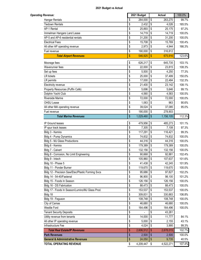| <b>Operating Revenue:</b>                            |          | 2021 Budget        |                   | <b>Actual</b>      | 100.0%           |
|------------------------------------------------------|----------|--------------------|-------------------|--------------------|------------------|
| <b>Hangar Rentals</b>                                | \$       | 264,000            | \$                | 263,270            | 99.7%            |
| <b>Tiedown Rentals</b>                               | \$       | 2,432              | l \$              | 4,026              | 165.5%           |
| AP-1 Rental                                          | \$       | 25,893             | \$                | 25,175             | 97.2%            |
| Immelman Hangars Land Lease                          | \$       | 14,719             | \$                | 14,719             | 100.0%           |
| AP-5 and AP-6 residential rentals                    | \$       | 31,200             | \$                | 31,200             | 100.0%           |
| <b>Electrical Fees</b>                               | \$       | 15,708             | \$                | 15,769             | 100.4%           |
| All other AP operating revenue                       | \$       | 2,973              | \$                | 4,944              | 166.3%           |
| Fuel revenue                                         | \$       | 190,000            | \$                | 316,812            |                  |
| <b>Total Airport Revenues</b>                        | \$       | 546,925            | S                 | 675,916            | 123.6%           |
| Moorage fees                                         | \$       | 626,217 \$         |                   | 645,735            | 103.1%           |
| Waverunner fees                                      | \$       | 22,000             | \$                | 23,815             | 108.3%           |
| Set up fees                                          | \$       | 5,500              | \$                | 4,250              | 77.3%            |
| <b>LR</b> tickets                                    | \$       | 25,000             | \$                | 37,499             | 150.0%           |
| LR permits                                           | \$       | 17,000             | \$                | 22,484             | 132.3%           |
| Electricity revenue                                  | \$       | 21,400             | \$                | 23,142             | 108.1%           |
| Property Resources (Puffin Café)                     | \$       | 5,696              | \$                | 5,646              | 99.1%            |
| Dolphin Yacht Club                                   | \$       | 4,560              | \$                | 4,583              | 100.5%           |
| <b>Riverside Marine</b>                              | \$       | 72,000             | \$                | 72,000             | 100.0%           |
| OHSU Lease                                           | \$       | 1,063              | \$                | 963                | 90.6%            |
| All other MA operating revenue                       | \$       | 39,024             | $\sqrt{3}$        | 37,085             | 95.0%            |
| Fuel revenue                                         | \$       | 190,000            | \$                | 278,903            |                  |
| <b>Total Marina Revenues</b>                         | \$       | 1,029,460          | \$                | 1,156,105          | 112.3%           |
|                                                      |          |                    |                   |                    |                  |
| IP Ground leases                                     | \$       | 479,956            | $\sqrt{3}$        | 485,273            | 101.1%           |
| IP spur track leases                                 | \$       | 7,305              | $\sqrt{3}$        | 7,108              | 97.3%            |
| Bldg 3 - Kemira                                      | \$       | 117,291            | \$                | 116,421            | 99.3%            |
| Bldg 4 - Pump Dynamics                               | \$       | 74,832             | \$                | 74,832             | 100.0%           |
| Bldg 5 - MJ Glass Productions                        | \$       | 44,316             | \$                | 44,316             | 100.0%           |
| Bldg 6 - Kemira                                      | \$       | 179,389            | $\sqrt{3}$        | 179,389            | 100.0%           |
| Bldg 7 - Calvert                                     | \$       | 132,156            | \$                | 132,156            | 100.0%           |
| Bldg 8 - Corrosion, No Limit Engineering             | \$       | 90,668             | \$                | 92,881             | 102.4%           |
| Bldg 9 - Intech                                      | \$       | 105,960            | $\sqrt{3}$        | 107,637            | 101.6%           |
| Bldg 10 - Phase 5                                    | \$       | 41,438 \$          |                   | 42,245             | 101.9%           |
| Bldg 11 - Ponder Burner                              | \$       | 119,670            | l \$              | 119,670            | 100.0%           |
| Bldg 12 - Precision Saw/Etec/Plastic Forming Svcs    | \$       | 95,686<br>96,900   | $\sqrt{3}$        | 97,827             | 102.2%           |
| Bldg 14 - 54-40/Fastenal                             | \$       | $126, 156$ \$      | <b>\$</b>         | 98,100             | 101.2%           |
| Bldg 15 - Foods In Season                            | \$       |                    |                   | 126,156            | 100.0%           |
| Bldg 16 - DS Fabrication                             | \$       | 88,473             | l \$              | 88,473             | 100.0%           |
| Bldg 17 - Foods In Season/Lumino/MJ Glass Prod.      | \$       | 153,537            | l\$<br>$\sqrt{3}$ | 153,537            | 100.0%           |
| Bldg 18                                              | \$       | 309,831            |                   | 330,883            | 106.8%           |
| Bldg 19 - Feguson<br>City of Camas                   | \$       | 108,748<br>46,680  | \$<br>\$          | 108,748            | 100.0%<br>100.0% |
| Westlie Ford                                         | \$       | 164,496            | \$                | 46,680             | 100.0%           |
|                                                      | \$       |                    |                   | 164,496            |                  |
| <b>Tenant Security Deposits</b>                      | \$       |                    | \$                | 43,261             |                  |
| Utility revenue from tenants                         | \$       | 14,000             | \$                | 11,777             | 84.1%            |
| All other IP operating revenue<br>Infrastructure Fee | \$       | 5,000              | \$<br>\$          | 2,155              | 43.1%            |
| <b>Total Real Estate/IP Revenues</b>                 | \$<br>\$ | 4,024<br>2,606,512 | $\sqrt[6]{3}$     | 3,995<br>2,678,015 | 99.3%<br>102.7%  |
| <b>Park Revenues</b>                                 | \$       | 2,500              | $\sqrt[6]{3}$     | 2,500              | 100.0%           |
| <b>General &amp; Administrative Revenues</b>         | \$       | 24,050             | \$                | 9,735              | 40.5%            |
| <b>TOTAL OPERATING REVENUE</b>                       | \$       | 4,209,447 \$       |                   | 4,522,271          | 107.4%           |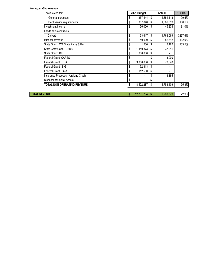| <b>Non-operating revenue</b>        |                       |                 |         |
|-------------------------------------|-----------------------|-----------------|---------|
| Taxes levied for:                   | 2021 Budget           | Actual          | 100.0%  |
| General purposes                    | \$<br>1,357,444       | \$<br>1,351,118 | 99.5%   |
| Debt service requirements           | \$<br>1,387,840       | \$<br>1,389,319 | 100.1%  |
| Investment income                   | \$<br>56,000          | \$<br>45,334    | 81.0%   |
| Lands sales contracts:              |                       |                 |         |
| Calvert                             | \$<br>53,617          | \$<br>1,768,089 | 3297.6% |
| Misc tax revenue                    | \$<br>40,000          | \$<br>52,812    | 132.0%  |
| State Grant: WA State Parks & Rec   | \$<br>1,200           | \$<br>3,162     | 263.5%  |
| State Grant/Loan: CERB              | \$<br>1,440,873       | \$<br>37,241    |         |
| State Grant: BFP                    | \$<br>1,000,000       | \$              |         |
| <b>Federal Grant: CARES</b>         | \$                    | \$<br>13,000    |         |
| Federal Grant: EDA                  | \$<br>3,000,000       | \$<br>79,648    |         |
| Federal Grant: BIG                  | \$<br>72,813          | \$              |         |
| Federal Grant: CVA                  | \$<br>112,500         | \$              |         |
| Insurance Proceeds - Airplane Crash | \$<br>٠               | \$<br>18,385    |         |
| Disposal of Capital Assets          | \$<br>٠               | \$              |         |
| <b>TOTAL NON-OPERATING REVENUE</b>  | 8,522,287             | \$<br>4,758,109 | 55.8%   |
| <b>TOTAL REVENUE</b>                | \$<br>$12,731,734$ \$ | 9,280,379       | 72.9%   |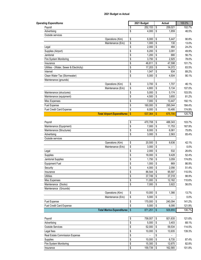| <b>Operating Expenditures</b>                                                                                 |            | 2021 Budget | Actual        | 100.0%                                                                              |
|---------------------------------------------------------------------------------------------------------------|------------|-------------|---------------|-------------------------------------------------------------------------------------|
| Payroll                                                                                                       | \$         | 252,153     | \$<br>259,021 | 102.7%                                                                              |
| Advertising                                                                                                   | \$         | 4,000       | \$<br>1,859   | 46.5%                                                                               |
| Outside services                                                                                              |            |             |               |                                                                                     |
| Operations (Kim)                                                                                              | \$         | 6,000       | \$<br>5,447   | 90.8%                                                                               |
| Maintenance (Eric)                                                                                            | \$         | 1,000       | \$<br>130     | 13.0%                                                                               |
| Legal                                                                                                         | \$         | 2,000       | \$<br>484     | 24.2%                                                                               |
| Supplies (Airport)                                                                                            | \$         | 6,200       | \$<br>3,091   | 49.9%                                                                               |
| Janitorial                                                                                                    | \$         | 1,200       | \$<br>680     | 56.7%                                                                               |
| Fire System Monitoring                                                                                        | \$         | 3,750       | \$<br>2,925   | 78.0%                                                                               |
| Insurance                                                                                                     | \$         | 46,811      | \$<br>47,598  | 101.7%                                                                              |
| Utilities - (Water, Sewer & Electricity)                                                                      | \$         | 17,203      | \$<br>14,372  | 83.5%                                                                               |
| Internet                                                                                                      | \$         | 1,047       | \$<br>934     | 89.2%                                                                               |
| Clean Water Tax (Stormwater)                                                                                  | \$         | 5,000       | \$<br>4,504   | 90.1%                                                                               |
| Maintenance (grounds)                                                                                         |            |             |               |                                                                                     |
| Operations (Kim)                                                                                              | \$         | 3,700       | \$<br>1,707   | 46.1%                                                                               |
| Maintenance (Eric)                                                                                            | \$         | 4,800       | \$<br>5,134   | 107.0%                                                                              |
| Maintenance (structures)                                                                                      | \$         | 5,000       | \$<br>5,174   | 103.5%                                                                              |
|                                                                                                               |            |             |               |                                                                                     |
| Maintenance (equipment)                                                                                       | \$         | 4,500       | \$<br>3,655   | 81.2%                                                                               |
| Misc Expenses                                                                                                 | \$         | 7,000       | \$<br>13,447  | 192.1%                                                                              |
| Fuel Expense                                                                                                  | \$         | 160,000     | \$<br>295,044 | 184.4%                                                                              |
| Fuel Credit Card Expense                                                                                      | \$         | 6,000       | \$<br>10,495  | 174.9%                                                                              |
| <b>Total Airport Expenditures</b>                                                                             | $\sqrt{2}$ | 537,364     | \$<br>675,700 | 125.7%                                                                              |
|                                                                                                               |            |             |               |                                                                                     |
| Payroll                                                                                                       | \$         | 470,708     | \$<br>488,343 | 103.7%                                                                              |
| Maintenance (Equipment)                                                                                       | \$         | 7,000       | \$<br>11,753  | 167.9%                                                                              |
| Maintenance (Structures)                                                                                      | \$         | 8,000       | \$<br>6,061   | 75.8%                                                                               |
| Advertising                                                                                                   | \$         | 3,000       | \$<br>2,563   | 85.4%                                                                               |
| Outside services                                                                                              |            |             |               |                                                                                     |
| Operations (Kim)                                                                                              | \$         | 20,500      | \$<br>8,636   | 42.1%                                                                               |
| Maintenance (Eric)                                                                                            | \$         | 3,000       | \$            | 0.0%                                                                                |
| Legal                                                                                                         | \$         | 2,000       | \$<br>532     | 26.6%                                                                               |
| Supplies                                                                                                      | \$         | 18,000      | \$<br>9,428   | 52.4%                                                                               |
| Janitorial Supplies                                                                                           | \$         | 1,750       | \$<br>3,059   | 174.8%                                                                              |
| Equipment Fuel                                                                                                | \$         | 1,000       | \$<br>869     | 86.9%                                                                               |
| Security                                                                                                      | \$         | 4,000       | \$<br>2,056   | 51.4%                                                                               |
| Insurance                                                                                                     | \$         | 86,544      | \$<br>95,597  | 110.5%                                                                              |
| <b>Utilities</b>                                                                                              | \$         | 37,749      | \$<br>37,318  | 98.9%                                                                               |
| Misc Expenses                                                                                                 | \$         | 11,000      | \$<br>12,162  | 110.6%                                                                              |
| Maintenance (Docks)                                                                                           | \$         | 7,000       | \$<br>3,922   | 56.0%                                                                               |
|                                                                                                               |            |             |               |                                                                                     |
| Maintenance (Grounds)                                                                                         |            |             |               |                                                                                     |
| Operations (Kim)                                                                                              | \$         | 10,000      | \$<br>1,366   | 13.7%                                                                               |
| Maintenance (Eric)                                                                                            | \$         | 5,000       | \$            | 0.0%                                                                                |
|                                                                                                               |            |             |               |                                                                                     |
|                                                                                                               | \$         | 170,000     | \$<br>240,094 |                                                                                     |
|                                                                                                               | \$         | 5,000       | \$<br>6,095   |                                                                                     |
| <b>Fuel Expense</b><br>Fuel Credit Card Expense<br><b>Total Marina Expenditures</b>                           | \$         | 871,251     | \$<br>929,855 |                                                                                     |
|                                                                                                               |            |             |               |                                                                                     |
|                                                                                                               | \$         | 758,007     | \$<br>921,635 |                                                                                     |
|                                                                                                               | \$         | 5,000       | \$<br>3,403   |                                                                                     |
|                                                                                                               | \$         | 52,000      | \$<br>59,534  |                                                                                     |
|                                                                                                               | \$         | 10,000      | \$<br>13,935  |                                                                                     |
|                                                                                                               | \$         |             | \$            |                                                                                     |
| Payroll<br>Advertising<br><b>Outside Services</b><br>Legal fees<br>Real Estate Commission Expense<br>Supplies | \$         | 10,000      | \$<br>8,735   |                                                                                     |
| Fire System Monitoring                                                                                        | \$         | 15,300      | \$<br>12,675  | 141.2%<br>121.9%<br>106.7%<br>121.6%<br>68.1%<br>114.5%<br>139.3%<br>87.4%<br>82.8% |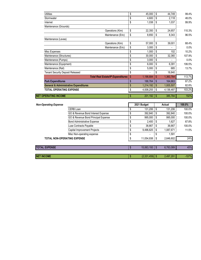| <b>Utilities</b>                                 | \$<br>45,000         | \$   | 44.749    | 99.4%  |
|--------------------------------------------------|----------------------|------|-----------|--------|
| Stormwater                                       | \$<br>4,600          | \$   | 2,118     | 46.0%  |
| Internet                                         | \$<br>1,038          | \$   | 1,037     | 99.9%  |
| Maintenance (Grounds)                            |                      |      |           |        |
| Operations (Kim)                                 | \$<br>22,350         | \$   | 24,657    | 110.3% |
| Maintenance (Eric)                               | \$<br>8,650          | \$   | 8,343     | 96.5%  |
| Maintenance (Levee)                              |                      |      |           |        |
| Operations (Kim)                                 | \$<br>57,000         | \$   | 39,001    | 68.4%  |
| Maintenance (Eric)                               | \$<br>3,000          | \$   |           | 0.0%   |
| Misc Expenses                                    | \$<br>1,000          | \$   | 102       | 10.2%  |
| Maintenance (Structures)                         | \$<br>30,000         | \$   | 32,360    | 107.9% |
| Maintenance (Pumps)                              | \$<br>3,000          | \$   |           | 0.0%   |
| Maintenance (Equipment)                          | \$<br>6,000          | \$   | 6,391     | 106.5% |
| Maintenance (Rail)                               | \$<br>5,000          | \$   | 685       | 13.7%  |
| <b>Tenant Security Deposit Released</b>          | \$<br>$\blacksquare$ | \$   | 18,840    |        |
| <b>Total Real Estate/IP Expenditures</b>         | \$<br>1,196,684      | \$   | 1,360,764 | 113.7% |
| <b>Park Expenditures</b>                         | \$<br>188,764        | \$   | 164,663   | 87.2%  |
| <b>General &amp; Administrative Expenditures</b> | \$<br>1,214,192      | \$   | 1,005,507 | 82.8%  |
| <b>TOTAL OPERATING EXPENSE</b>                   | \$<br>4,008,255      | \$   | 4,136,487 | 103.2% |
| <b>NET OPERATING INCOME</b>                      | \$<br>201,192        | - \$ | 385,784   | 192%   |

| <b>Non-Operating Expense</b>       |                                     |   | 2021 Budget    |               | Actual    | 100.0% |
|------------------------------------|-------------------------------------|---|----------------|---------------|-----------|--------|
|                                    | CERB Loan                           | S | 131,206        | \$            | 131,206   | 100.0% |
|                                    | GO & Revenue Bond Interest Expense  |   | 392,840        | \$            | 392,840   | 100.0% |
|                                    | GO & Revenue Bond Principal Expense |   | 995.000        | \$            | 995.000   | 100.0% |
|                                    | <b>Bond Administrative Expense</b>  |   | 2,400          | \$            | 1.627     | 67.8%  |
|                                    | Luse Contracts Payable              |   | 36.667         | \$            | 36.667    | 100.0% |
|                                    | Capital Improvement Projects        |   | 9,496,825      | \$            | 1,087,671 | 11.5%  |
|                                    | Misc Non-operating expense          |   | $\blacksquare$ |               | 1.591     |        |
| <b>TOTAL NON-OPERATING EXPENSE</b> |                                     |   | 11,054,938     | S             | 2,646,602 | 24%    |
|                                    |                                     |   |                |               |           |        |
| <b>TOTAL EXPENSE</b>               |                                     |   | 15,063,193     | <sup>\$</sup> | 6,783,089 | 45%    |
|                                    |                                     |   |                |               |           |        |

| <b>NET INCOME</b> | $(2,331,459)$ \$ | 2,497,291 | $-107%$ |
|-------------------|------------------|-----------|---------|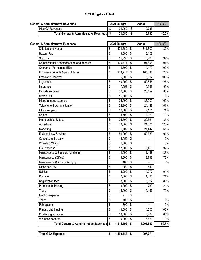| <b>General &amp; Administrative Revenues</b> | 2021 Budget | Actual | 100.0% |
|----------------------------------------------|-------------|--------|--------|
| Misc GA Revenues                             | 24,050      | 9,735  |        |
| Total General & Administrative Revenues   \$ | 24,050      | 9,735  | 40.5%  |

| <b>General &amp; Administrative Expenses</b>       | 2021 Budget     |                                      | <b>Actual</b> | 100.0% |
|----------------------------------------------------|-----------------|--------------------------------------|---------------|--------|
| Salaries and wages                                 | \$<br>424,569   | \$                                   | 341,600       | 80%    |
| Hazard Pay                                         | \$<br>3,000     | \$                                   | 9,109         |        |
| Standby                                            | \$<br>15,990    | \$                                   | 15,900        | 99%    |
| Commissioner's compensation and benefits           | \$<br>100,714   | \$                                   | 91,696        | 91%    |
| Overtime - Permanent EE's                          | \$<br>14,500    | \$                                   | 14,479        | 100%   |
| Employee benefits & payroll taxes                  | \$<br>218,717   | \$                                   | 165,838       | 76%    |
| <b>Employee Uniforms</b>                           | \$<br>6,500     | \$                                   | 6,817         | 105%   |
| Legal fees                                         | \$<br>40,000    | \$                                   | 50,846        | 127%   |
| Insurance                                          | \$<br>7,052     | \$                                   | 6,998         | 99%    |
| Outside services                                   | \$<br>30,000    | \$                                   | 26,499        | 88%    |
| State audit                                        | \$<br>16,000    | \$                                   |               | $0\%$  |
| Miscellaneous expense                              | \$<br>36,000    | \$                                   | 35,909        | 100%   |
| Telephone & communication                          | \$<br>24,300    | \$                                   | 24,448        | 101%   |
| Office supplies                                    | \$<br>10,000    | \$                                   | 7,101         | 71%    |
| Copier                                             | \$<br>4,500     | \$                                   | 3,129         | 70%    |
| Memberships & dues                                 | \$<br>34,500    | $\overline{\boldsymbol{\mathsf{S}}}$ | 29,321        | 85%    |
| Advertising                                        | \$<br>18,000    | \$                                   | 21,605        | 120%   |
| Marketing                                          | \$<br>35,000    | $\overline{\mathbf{S}}$              | 21,442        | 61%    |
| IT Supplies & Services                             | \$<br>59,000    | \$                                   | 59,389        | 101%   |
| Concerts in the park                               | \$<br>18,050    | \$                                   |               | $0\%$  |
| Wheels & Wings                                     | \$<br>6,000     | $\overline{\mathbf{S}}$              |               | $0\%$  |
| Fuel expense                                       | \$<br>17,000    | \$                                   | 16,423        | 97%    |
| Maintenance & Supplies (Janitorial)                | \$<br>4,000     | \$                                   | 1,446         | 36%    |
| Maintenance (Office)                               | \$<br>5,000     | \$                                   | 3,799         | 76%    |
| Maintenance (Grounds & Equip)                      | \$<br>400       | \$                                   |               | $0\%$  |
| Office security                                    | \$<br>800       | $\overline{\boldsymbol{\mathsf{S}}}$ | 540           |        |
| <b>Utilities</b>                                   | \$<br>15,200    | \$                                   | 14,277        | 94%    |
| Postage                                            | \$<br>2,000     | \$                                   | 1,426         | 71%    |
| Registration fees                                  | \$<br>8,000     | $\overline{\boldsymbol{\mathsf{S}}}$ | 6,822         | 85%    |
| <b>Promotional Hosting</b>                         | \$<br>3,000     | \$                                   | 730           | 24%    |
| Travel                                             | \$<br>15,000    | \$                                   | 10,466        | 70%    |
| Election expense                                   | \$              | \$                                   |               |        |
| <b>Taxes</b>                                       | \$<br>100       | \$                                   |               | $0\%$  |
| Publications                                       | \$<br>800       | \$                                   |               | $0\%$  |
| Printing and binding                               | \$<br>4,500     | \$                                   | 4,500         | 100%   |
| Continuing education                               | \$<br>10,000    | \$                                   | 6,333         | 63%    |
| Wellness benefits                                  | \$<br>6,000     | \$                                   | 6,621         | 110%   |
| <b>Total General &amp; Administrative Expenses</b> | \$<br>1,214,192 | \$                                   | 1,005,507     | 82.8%  |
|                                                    |                 |                                      |               |        |
| <b>Total G&amp;A Expenses</b>                      | \$<br>1,190,142 | $\sqrt[6]{3}$                        | 995,771       |        |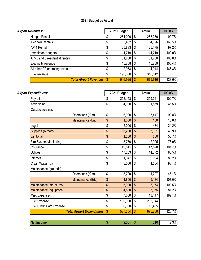| <b>Airport Revenues:</b>           | 2021 Budget |         |                           | <b>Actual</b> | 100.0% |  |
|------------------------------------|-------------|---------|---------------------------|---------------|--------|--|
| Hangar Rentals                     | S           | 264,000 | \$                        | 263,270       | 99.7%  |  |
| <b>Tiedown Rentals</b>             | \$          | 2,432   | \$                        | 4,026         | 165.5% |  |
| AP-1 Rental                        |             | 25,893  | \$                        | 25,175        | 97.2%  |  |
| Immelman Hangars                   | \$          | 14,719  | \$                        | 14,719        | 100.0% |  |
| AP- 5 and 6 residential rentals    | \$          | 31,200  | \$                        | 31,200        | 100.0% |  |
| Electricity revenue                | \$          | 15,708  | \$                        | 15,769        | 100.4% |  |
| All other AP operating revenue     | \$          | 2,973   | \$                        | 4,944         | 166.3% |  |
| Fuel revenue                       | \$          | 190,000 | \$                        | 316,812       |        |  |
| <b>Total Airport Revenues   \$</b> |             | 546,925 | $\boldsymbol{\mathsf{S}}$ | 675,916       | 123.6% |  |

| <b>Airport Expenditures:</b>    |                                   |               | 2021 Budget |                           | <b>Actual</b> | 100.0% |
|---------------------------------|-----------------------------------|---------------|-------------|---------------------------|---------------|--------|
| Payroll                         |                                   | \$            | 252,153     | \$                        | 259,021       | 102.7% |
| Advertising                     |                                   | \$            | 4,000       | $\boldsymbol{\mathsf{S}}$ | 1,859         | 46.5%  |
| Outside services                |                                   |               |             |                           |               |        |
|                                 | Operations (Kim)                  | \$            | 6,000       | \$                        | 5,447         | 90.8%  |
|                                 | Maintenance (Eric)                | \$            | 1,000       | \$                        | 130           | 13.0%  |
| Legal                           |                                   | \$            | 2,000       | \$                        | 484           | 24.2%  |
| Supplies (Airport)              |                                   | \$            | 6,200       | $\mathsf{\$}$             | 3,091         | 49.9%  |
| Janitorial                      |                                   | \$            | 1,200       | \$                        | 680           | 56.7%  |
| Fire System Monitoring          |                                   | \$            | 3,750       | \$                        | 2,925         | 78.0%  |
| Insurance                       |                                   | \$            | 46,811      | \$                        | 47,598        | 101.7% |
| <b>Utilities</b>                |                                   | \$            | 17,203      | \$                        | 14,372        | 83.5%  |
| Internet                        |                                   | \$            | 1,047       | \$                        | 934           | 89.2%  |
| Clean Water Tax                 |                                   | \$            | 5,000       | \$                        | 4,504         | 90.1%  |
| Maintenance (grounds)           |                                   |               |             |                           |               |        |
|                                 | Operations (Kim)                  | \$            | 3,700       | $\boldsymbol{\mathsf{S}}$ | 1,707         | 46.1%  |
|                                 | Maintenance (Eric)                | \$            | 4,800       | $\mathsf{\$}$             | 5,134         | 107.0% |
| Maintenance (structures)        |                                   | \$            | 5,000       | \$                        | 5,174         | 103.5% |
| Maintenance (equipment)         |                                   | \$            | 4,500       | $\mathfrak{S}$            | 3,655         | 81.2%  |
| Misc Expenses                   |                                   | \$            | 7,000       | \$                        | 13,447        | 192.1% |
| <b>Fuel Expense</b>             |                                   | \$            | 160,000     | \$                        | 295,044       |        |
| <b>Fuel Credit Card Expense</b> |                                   | \$            | 6,000       | \$                        | 10,495        |        |
|                                 | <b>Total Airport Expenditures</b> | $\mathbf{\$}$ | 537,364     | $\mathbf{\$}$             | 675,700       | 125.7% |
|                                 |                                   |               |             |                           |               |        |
| <b>Net Income</b>               |                                   | \$            | 9,561       | \$                        | 216           | 2.3%   |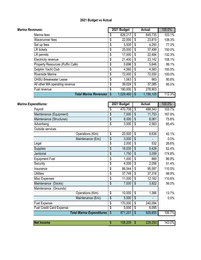| Marina Revenues:                 | 2021 Budget |           |            | <b>Actual</b> | 100.0% |  |
|----------------------------------|-------------|-----------|------------|---------------|--------|--|
| Marina fees                      | \$          | 626,217   | \$         | 645,735       | 103.1% |  |
| Waverunner fees                  | \$          | 22,000    | \$         | 23,815        | 108.3% |  |
| Set up fees                      | \$          | 5,500     | \$         | 4,250         | 77.3%  |  |
| <b>LR</b> tickets                | \$          | 25,000    | \$         | 37,499        | 150.0% |  |
| LR permits                       | \$          | 17,000    | -\$        | 22,484        | 132.3% |  |
| Electricity revenue              | \$          | 21,400    | \$         | 23,142        | 108.1% |  |
| Property Resources (Puffin Café) | \$          | 5,696     | \$         | 5,646         | 99.1%  |  |
| Dolphin Yacht Club               | \$          | 4,560     | $\sqrt{3}$ | 4,583         | 100.5% |  |
| <b>Riverside Marine</b>          | \$          | 72,000    | \$         | 72,000        | 100.0% |  |
| <b>OHSU Breakwater Lease</b>     | \$          | 1,063     | \$         | 963           | 90.6%  |  |
| All other MA operating revenue   | \$          | 39,024    | S          | 37,085        | 95.0%  |  |
| Fuel revenue                     | \$          | 190,000   | \$         | 278,903       |        |  |
| <b>Total Marina Revenues</b>     | \$          | 1,029,460 | S.         | 1,156,105     | 112.3% |  |

| Marina Expenditures:            |                                  |                                      | 2021 Budget |                          | <b>Actual</b> | 100.0% |
|---------------------------------|----------------------------------|--------------------------------------|-------------|--------------------------|---------------|--------|
| Payroll                         |                                  | \$                                   | 470,708     | \$                       | 488,343       | 103.7% |
| Maintenance (Equipment)         |                                  | \$                                   | 7,000       | \$                       | 11,753        | 167.9% |
| Maintenance (Structures)        |                                  | \$                                   | 8,000       | \$                       | 6,061         | 75.8%  |
| Advertising                     |                                  | $\overline{\mathcal{S}}$             | 3,000       | $\overline{\mathcal{S}}$ | 2,563         | 85.4%  |
| Outside services                |                                  |                                      |             |                          |               |        |
|                                 | Operations (Kim)                 | $\overline{\mathcal{S}}$             | 20,500      | $\overline{\mathcal{S}}$ | 8,636         | 42.1%  |
|                                 | Maintenance (Eric)               | $\frac{1}{2}$                        | 3,000       | $\sqrt{2}$               |               | 0.0%   |
| Legal                           |                                  | $\overline{\$}$                      | 2,000       | \$                       | 532           | 26.6%  |
| Supplies                        |                                  | \$                                   | 18,000      | $\sqrt{2}$               | 9,428         | 52.4%  |
| Janitorial                      |                                  | \$                                   | 1,750       | \$                       | 3,059         | 174.8% |
| <b>Equipment Fuel</b>           |                                  | \$                                   | 1,000       | \$                       | 869           | 86.9%  |
| Security                        |                                  | $\overline{\$}$                      | 4,000       | $\overline{\mathcal{S}}$ | 2,056         | 51.4%  |
| Insurance                       |                                  | \$                                   | 86,544      | \$                       | 95,597        | 110.5% |
| <b>Utilities</b>                |                                  | \$                                   | 37,749      | \$                       | 37,318        | 98.9%  |
| Misc Expenses                   |                                  | \$                                   | 11,000      | \$                       | 12,162        | 110.6% |
| Maintenance (Docks)             |                                  | \$                                   | 7,000       | \$                       | 3,922         | 56.0%  |
| Maintenance<br>(Grounds)        |                                  |                                      |             |                          |               |        |
|                                 | Operations (Kim)                 | $\overline{\$}$                      | 10,000      | $\overline{\$}$          | 1,366         | 13.7%  |
|                                 | Maintenance (Eric)               | $\sqrt[6]{\frac{1}{2}}$              | 5,000       | $\overline{\$}$          |               | 0.0%   |
| Fuel Expense                    |                                  | $\overline{\boldsymbol{\mathsf{S}}}$ | 170,000     | $\overline{\mathcal{S}}$ | 240,094       |        |
| <b>Fuel Credit Card Expense</b> |                                  | $\overline{\$}$                      | 5,000       | $\overline{\$}$          | 6,095         |        |
|                                 | <b>Total Marina Expenditures</b> | $\frac{1}{2}$                        | 871,251     | $\overline{\$}$          | 929,855       | 106.7% |
|                                 |                                  |                                      |             |                          |               |        |
| <b>Net Income</b>               |                                  | $\frac{1}{2}$                        | 158,209     | $\overline{\mathcal{S}}$ | 226,250       | 143.0% |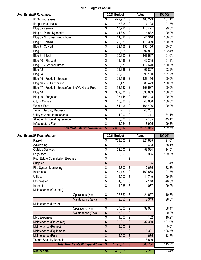| Real Estate/IP Revenues:                        |                                                     | 2021 Budget      |                          | Actual            | 100.0%                                                                  |
|-------------------------------------------------|-----------------------------------------------------|------------------|--------------------------|-------------------|-------------------------------------------------------------------------|
| IP Ground leases                                | \$                                                  | 479,956          | \$                       | 485,273           | 101.1%                                                                  |
| IP spur track leases                            | \$                                                  | 7,305            | \$                       | 7,108             | 97.3%                                                                   |
| Bldg 3 - Kemira                                 | \$                                                  | 117,291          | \$                       | 116,421           | 99.3%                                                                   |
| Bldg 4 - Pump Dynamics                          | $\overline{\mathcal{S}}$                            | 74,832           | \$                       | 74,832            | 100.0%                                                                  |
| Bldg 5 - MJ Glass Productions                   | $\overline{\mathcal{S}}$                            | 44,316           | \$                       | 44,316            | 100.0%                                                                  |
| Bldg 6 - Kemira                                 | \$                                                  | 179,389          | \$                       | 179,389           | 100.0%                                                                  |
| Bldg 7 - Calvert                                | \$                                                  | 132,156          | \$                       | 132,156           | 100.0%                                                                  |
| Bldg 8                                          | \$                                                  | 90,668           | \$                       | 92,881            | 102.4%                                                                  |
| Bldg 9 - Intech                                 | \$                                                  | 105,960          | \$                       | 107,637           | 101.6%                                                                  |
| Bldg 10 - Phase 5                               | \$                                                  | 41,438           | \$                       | 42,245            | 101.9%                                                                  |
| Bldg 11 - Ponder Burner                         | $\overline{\mathcal{S}}$                            | 119,670          | $\overline{\mathbb{S}}$  | 119,670           | 100.0%                                                                  |
| Bldg 12                                         | \$                                                  | 95,686           | \$                       | 97,827            | 102.2%                                                                  |
| Bldg 14                                         | \$                                                  | 96,900           | \$                       | 98,100            | 101.2%                                                                  |
| Bldg 15 - Foods In Season                       | $\overline{\mathcal{S}}$                            | 126,156          | \$                       | 126,156           | 100.0%                                                                  |
| Bldg 16 - DS Fabrication                        | $\overline{\mathcal{S}}$                            | 88,473           | $\overline{\mathcal{S}}$ | 88,473            | 100.0%                                                                  |
| Bldg 17 - Foods In Season/Lumino/MJ Glass Prod. | $\overline{\$}$                                     | 153,537          | $\overline{\mathcal{S}}$ | 153,537           | 100.0%                                                                  |
| Bldg 18                                         | $\overline{\$}$                                     | 309,831          | \$                       | 330,883           | 106.8%                                                                  |
| Bldg 19 - Ferguson                              | \$                                                  | 108,748          | \$                       | 108,748           | 100.0%                                                                  |
| City of Camas                                   | $\overline{\$}$                                     | 46,680           | $\overline{\$}$          | 46,680            | 100.0%                                                                  |
| <b>Westlie Ford</b>                             | $\overline{\mathcal{S}}$                            | 164,496          | \$                       | 164,496           | 100.0%                                                                  |
| <b>Tenant Security Deposits</b>                 | $\overline{\mathcal{S}}$                            |                  | \$                       | 43,261            |                                                                         |
| Utility revenue from tenants                    | \$                                                  | 14,000           | \$                       | 11,777            | 84.1%                                                                   |
| All other IP operating revenue                  | \$                                                  | 5,000            | \$                       | 2,155             | 43.1%                                                                   |
| Infrastructure Fee                              | \$                                                  | 4,024            | \$                       | 3,995             | 99.3%                                                                   |
| <b>Total Real Estate/IP Revenues</b>            | $\overline{\$}$                                     | 2,606,512        | S                        | 2,678,015         | 102.7%                                                                  |
|                                                 |                                                     |                  |                          |                   |                                                                         |
|                                                 |                                                     |                  |                          |                   |                                                                         |
|                                                 |                                                     | 2021 Budget      |                          | <b>Actual</b>     | 100.0%                                                                  |
| Real Estate/IP Expenditures:<br>Payroll         | \$                                                  | 758,007          | \$                       | 921,635           |                                                                         |
| Advertising                                     | \$                                                  | 5,000            | \$                       | 3,403             |                                                                         |
| <b>Outside Services</b>                         | $\overline{\mathcal{S}}$                            | 52,000           | \$                       | 59,534            |                                                                         |
| Legal fees                                      | \$                                                  | 10,000           | \$                       | 13,935            | 139.3%                                                                  |
| Real Estate Commission Expense                  | $\overline{\$}$                                     |                  | \$                       |                   |                                                                         |
| Supplies                                        | $\sqrt{3}$                                          | 10,000<br>15,300 | $\sqrt{3}$<br>\$         | 8,735             |                                                                         |
| <b>Fire System Monitoring</b><br>Insurance      | \$                                                  | 159,739          | \$                       | 12,675<br>162,565 |                                                                         |
| <b>Utilities</b>                                | \$                                                  | 45,000           | \$                       | 44,749            | 99.4%                                                                   |
| Stormwater                                      | $\overline{\mathcal{S}}$                            | 4,600            | \$                       | 2,118             | 46.0%                                                                   |
| Internet                                        | $\overline{\$}$<br>\$                               | 1,038            | \$                       | 1,037             | 99.9%                                                                   |
| Maintenance (Grounds)                           |                                                     |                  |                          |                   |                                                                         |
| Operations (Kim)                                |                                                     | 22,350           | \$                       | 24,657            |                                                                         |
| Maintenance (Eric)                              | $\overline{\mathcal{S}}$<br>$\sqrt[6]{\frac{1}{2}}$ | 8,650            | \$                       | 8,343             | 96.5%                                                                   |
| Maintenance (Levee)                             |                                                     |                  |                          |                   |                                                                         |
| Operations (Kim)                                | \$                                                  | 57,000           | \$                       | 39,001            | 68.4%                                                                   |
| Maintenance (Eric)                              | $\overline{\$}$                                     | 3,000            | $\overline{\mathcal{S}}$ |                   |                                                                         |
| Misc Expenses                                   | $\overline{\$}$                                     | 1,000            | $\overline{\$}$          | 102               | 10.2%                                                                   |
| Maintenance (Structures)                        | $\sqrt[6]{\frac{1}{2}}$                             | 30,000           | \$                       | 32,360            | 107.9%                                                                  |
| Maintenance (Pumps)                             | $\overline{\mathcal{S}}$                            | 3,000            | $\overline{\mathcal{S}}$ |                   | 0.0%                                                                    |
| Maintenance (Equipment)                         | $\sqrt[6]{\frac{1}{2}}$                             | 6,000            | \$                       | 6,391             | 106.5%                                                                  |
| Maintenance (Rail)                              | $\sqrt[6]{\frac{1}{2}}$                             | 5,000            | \$                       | 685               | 13.7%                                                                   |
| <b>Tenant Security Deposit</b>                  | $\overline{\$}$                                     |                  | \$                       | 18,840            | 121.6%<br>68.1%<br>114.5%<br>87.4%<br>82.8%<br>101.8%<br>110.3%<br>0.0% |
| <b>Total Real Estate/IP Expenditures</b>        | \$                                                  | 1,196,684        | S                        | 1,360,764         | 113.7%                                                                  |